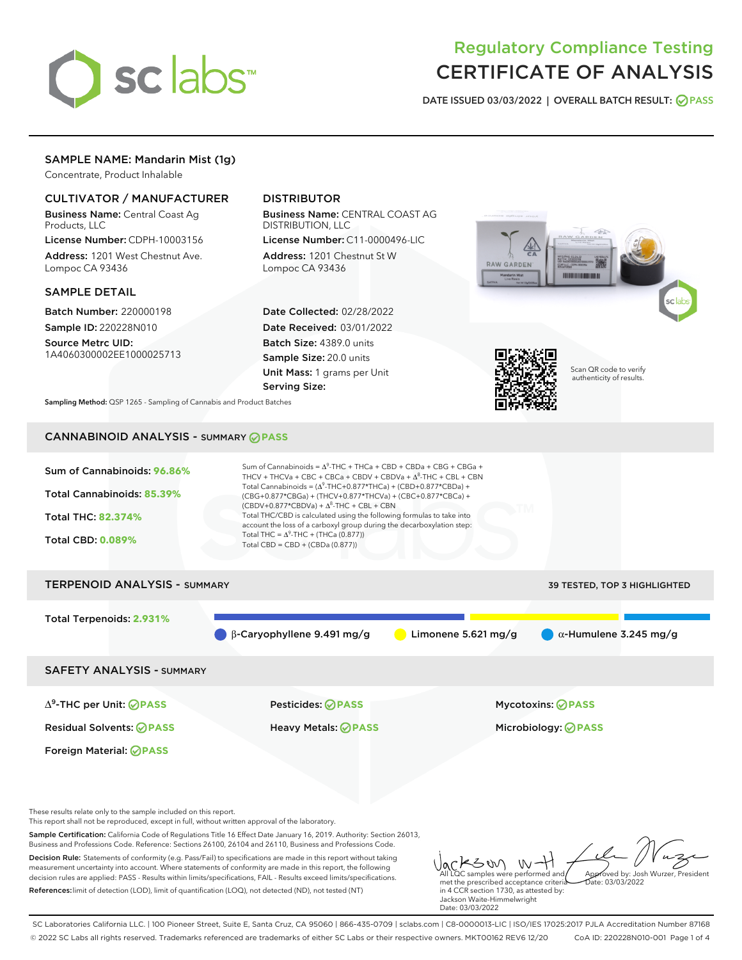

# Regulatory Compliance Testing CERTIFICATE OF ANALYSIS

DATE ISSUED 03/03/2022 | OVERALL BATCH RESULT: @ PASS

## SAMPLE NAME: Mandarin Mist (1g)

Concentrate, Product Inhalable

## CULTIVATOR / MANUFACTURER

Business Name: Central Coast Ag Products, LLC

License Number: CDPH-10003156 Address: 1201 West Chestnut Ave. Lompoc CA 93436

#### SAMPLE DETAIL

Batch Number: 220000198 Sample ID: 220228N010

Source Metrc UID: 1A4060300002EE1000025713

## DISTRIBUTOR

Business Name: CENTRAL COAST AG DISTRIBUTION, LLC

License Number: C11-0000496-LIC Address: 1201 Chestnut St W Lompoc CA 93436

Date Collected: 02/28/2022 Date Received: 03/01/2022 Batch Size: 4389.0 units Sample Size: 20.0 units Unit Mass: 1 grams per Unit Serving Size:





Scan QR code to verify authenticity of results.

Sampling Method: QSP 1265 - Sampling of Cannabis and Product Batches

## CANNABINOID ANALYSIS - SUMMARY **PASS**



SAFETY ANALYSIS - SUMMARY

∆ 9 -THC per Unit: **PASS** Pesticides: **PASS** Mycotoxins: **PASS**

Foreign Material: **PASS**

Residual Solvents: **PASS** Heavy Metals: **PASS** Microbiology: **PASS**

These results relate only to the sample included on this report.

This report shall not be reproduced, except in full, without written approval of the laboratory.

Sample Certification: California Code of Regulations Title 16 Effect Date January 16, 2019. Authority: Section 26013, Business and Professions Code. Reference: Sections 26100, 26104 and 26110, Business and Professions Code.

Decision Rule: Statements of conformity (e.g. Pass/Fail) to specifications are made in this report without taking measurement uncertainty into account. Where statements of conformity are made in this report, the following decision rules are applied: PASS - Results within limits/specifications, FAIL - Results exceed limits/specifications. References:limit of detection (LOD), limit of quantification (LOQ), not detected (ND), not tested (NT)

メンめ - W All LQC samples were performed and Approved by: Josh Wurzer, President met the prescribed acceptance criteria  $hat: 03/03/2022$ in 4 CCR section 1730, as attested by: Jackson Waite-Himmelwright

SC Laboratories California LLC. | 100 Pioneer Street, Suite E, Santa Cruz, CA 95060 | 866-435-0709 | sclabs.com | C8-0000013-LIC | ISO/IES 17025:2017 PJLA Accreditation Number 87168 © 2022 SC Labs all rights reserved. Trademarks referenced are trademarks of either SC Labs or their respective owners. MKT00162 REV6 12/20 CoA ID: 220228N010-001 Page 1 of 4

Date: 03/03/2022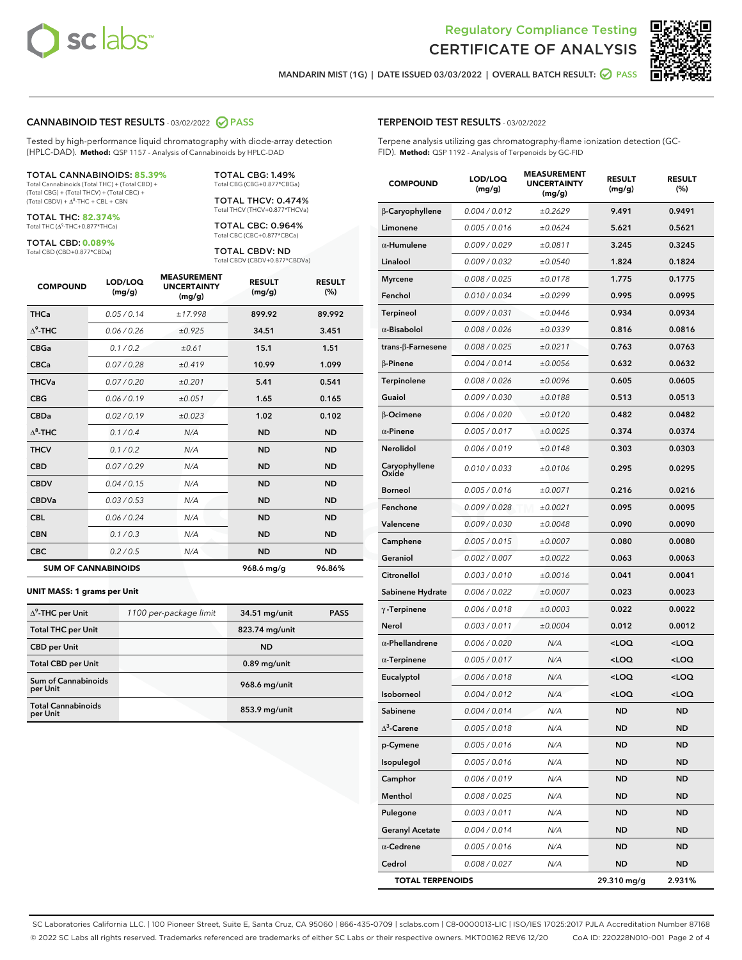



MANDARIN MIST (1G) | DATE ISSUED 03/03/2022 | OVERALL BATCH RESULT: @ PASS

#### CANNABINOID TEST RESULTS - 03/02/2022 2 PASS

Tested by high-performance liquid chromatography with diode-array detection (HPLC-DAD). **Method:** QSP 1157 - Analysis of Cannabinoids by HPLC-DAD

#### TOTAL CANNABINOIDS: **85.39%**

Total Cannabinoids (Total THC) + (Total CBD) + (Total CBG) + (Total THCV) + (Total CBC) +  $(Total CBDV) +  $\Delta^8$ -THC + CBL + CBN$ 

TOTAL THC: **82.374%** Total THC (Δ<sup>9</sup>-THC+0.877\*THCa)

TOTAL CBD: **0.089%**

Total CBD (CBD+0.877\*CBDa)

TOTAL CBG: 1.49% Total CBG (CBG+0.877\*CBGa)

TOTAL THCV: 0.474% Total THCV (THCV+0.877\*THCVa)

TOTAL CBC: 0.964% Total CBC (CBC+0.877\*CBCa)

TOTAL CBDV: ND Total CBDV (CBDV+0.877\*CBDVa)

| <b>COMPOUND</b>  | LOD/LOQ<br>(mg/g)          | <b>MEASUREMENT</b><br><b>UNCERTAINTY</b><br>(mg/g) | <b>RESULT</b><br>(mg/g) | <b>RESULT</b><br>(%) |
|------------------|----------------------------|----------------------------------------------------|-------------------------|----------------------|
| <b>THCa</b>      | 0.05 / 0.14                | ±17.998                                            | 899.92                  | 89.992               |
| $\Delta^9$ -THC  | 0.06 / 0.26                | ±0.925                                             | 34.51                   | 3.451                |
| <b>CBGa</b>      | 0.1 / 0.2                  | ±0.61                                              | 15.1                    | 1.51                 |
| <b>CBCa</b>      | 0.07 / 0.28                | ±0.419                                             | 10.99                   | 1.099                |
| <b>THCVa</b>     | 0.07/0.20                  | ±0.201                                             | 5.41                    | 0.541                |
| <b>CBG</b>       | 0.06/0.19                  | ±0.051                                             | 1.65                    | 0.165                |
| <b>CBDa</b>      | 0.02/0.19                  | ±0.023                                             | 1.02                    | 0.102                |
| $\Lambda^8$ -THC | 0.1 / 0.4                  | N/A                                                | <b>ND</b>               | <b>ND</b>            |
| <b>THCV</b>      | 0.1 / 0.2                  | N/A                                                | <b>ND</b>               | <b>ND</b>            |
| <b>CBD</b>       | 0.07/0.29                  | N/A                                                | <b>ND</b>               | <b>ND</b>            |
| <b>CBDV</b>      | 0.04 / 0.15                | N/A                                                | <b>ND</b>               | <b>ND</b>            |
| <b>CBDVa</b>     | 0.03/0.53                  | N/A                                                | <b>ND</b>               | <b>ND</b>            |
| <b>CBL</b>       | 0.06 / 0.24                | N/A                                                | <b>ND</b>               | <b>ND</b>            |
| <b>CBN</b>       | 0.1/0.3                    | N/A                                                | <b>ND</b>               | <b>ND</b>            |
| <b>CBC</b>       | 0.2 / 0.5                  | N/A                                                | <b>ND</b>               | <b>ND</b>            |
|                  | <b>SUM OF CANNABINOIDS</b> |                                                    | 968.6 mg/g              | 96.86%               |

#### **UNIT MASS: 1 grams per Unit**

| $\Delta^9$ -THC per Unit              | 1100 per-package limit | 34.51 mg/unit   | <b>PASS</b> |
|---------------------------------------|------------------------|-----------------|-------------|
| <b>Total THC per Unit</b>             |                        | 823.74 mg/unit  |             |
| <b>CBD</b> per Unit                   |                        | <b>ND</b>       |             |
| <b>Total CBD per Unit</b>             |                        | $0.89$ mg/unit  |             |
| Sum of Cannabinoids<br>per Unit       |                        | 968.6 mg/unit   |             |
| <b>Total Cannabinoids</b><br>per Unit |                        | $853.9$ mg/unit |             |

## TERPENOID TEST RESULTS - 03/02/2022

Terpene analysis utilizing gas chromatography-flame ionization detection (GC-FID). **Method:** QSP 1192 - Analysis of Terpenoids by GC-FID

| <b>COMPOUND</b>          | LOD/LOQ<br>(mg/g) | <b>MEASUREMENT</b><br><b>UNCERTAINTY</b><br>(mg/g) | <b>RESULT</b><br>(mg/g)                         | <b>RESULT</b><br>(%) |
|--------------------------|-------------------|----------------------------------------------------|-------------------------------------------------|----------------------|
| β-Caryophyllene          | 0.004 / 0.012     | ±0.2629                                            | 9.491                                           | 0.9491               |
| Limonene                 | 0.005 / 0.016     | ±0.0624                                            | 5.621                                           | 0.5621               |
| $\alpha$ -Humulene       | 0.009/0.029       | ±0.0811                                            | 3.245                                           | 0.3245               |
| Linalool                 | 0.009 / 0.032     | ±0.0540                                            | 1.824                                           | 0.1824               |
| <b>Myrcene</b>           | 0.008 / 0.025     | ±0.0178                                            | 1.775                                           | 0.1775               |
| Fenchol                  | 0.010 / 0.034     | ±0.0299                                            | 0.995                                           | 0.0995               |
| <b>Terpineol</b>         | 0.009 / 0.031     | ±0.0446                                            | 0.934                                           | 0.0934               |
| $\alpha$ -Bisabolol      | 0.008 / 0.026     | ±0.0339                                            | 0.816                                           | 0.0816               |
| $trans-\beta$ -Farnesene | 0.008 / 0.025     | ±0.0211                                            | 0.763                                           | 0.0763               |
| $\beta$ -Pinene          | 0.004 / 0.014     | ±0.0056                                            | 0.632                                           | 0.0632               |
| Terpinolene              | 0.008 / 0.026     | ±0.0096                                            | 0.605                                           | 0.0605               |
| Guaiol                   | 0.009 / 0.030     | ±0.0188                                            | 0.513                                           | 0.0513               |
| <b>B-Ocimene</b>         | 0.006 / 0.020     | ±0.0120                                            | 0.482                                           | 0.0482               |
| $\alpha$ -Pinene         | 0.005 / 0.017     | ±0.0025                                            | 0.374                                           | 0.0374               |
| Nerolidol                | 0.006 / 0.019     | ±0.0148                                            | 0.303                                           | 0.0303               |
| Caryophyllene<br>Oxide   | 0.010 / 0.033     | ±0.0106                                            | 0.295                                           | 0.0295               |
| <b>Borneol</b>           | 0.005 / 0.016     | ±0.0071                                            | 0.216                                           | 0.0216               |
| Fenchone                 | 0.009 / 0.028     | ±0.0021                                            | 0.095                                           | 0.0095               |
| Valencene                | 0.009 / 0.030     | ±0.0048                                            | 0.090                                           | 0.0090               |
| Camphene                 | 0.005 / 0.015     | ±0.0007                                            | 0.080                                           | 0.0080               |
| Geraniol                 | 0.002 / 0.007     | ±0.0022                                            | 0.063                                           | 0.0063               |
| Citronellol              | 0.003 / 0.010     | ±0.0016                                            | 0.041                                           | 0.0041               |
| Sabinene Hydrate         | 0.006 / 0.022     | ±0.0007                                            | 0.023                                           | 0.0023               |
| $\gamma$ -Terpinene      | 0.006 / 0.018     | ±0.0003                                            | 0.022                                           | 0.0022               |
| Nerol                    | 0.003 / 0.011     | ±0.0004                                            | 0.012                                           | 0.0012               |
| $\alpha$ -Phellandrene   | 0.006 / 0.020     | N/A                                                | <loq< th=""><th><loq< th=""></loq<></th></loq<> | <loq< th=""></loq<>  |
| $\alpha$ -Terpinene      | 0.005 / 0.017     | N/A                                                | <loq< th=""><th><loq< th=""></loq<></th></loq<> | <loq< th=""></loq<>  |
| Eucalyptol               | 0.006 / 0.018     | N/A                                                | <loq< th=""><th><loq< th=""></loq<></th></loq<> | <loq< th=""></loq<>  |
| Isoborneol               | 0.004 / 0.012     | N/A                                                | <loq< th=""><th><loq< th=""></loq<></th></loq<> | <loq< th=""></loq<>  |
| Sabinene                 | 0.004 / 0.014     | N/A                                                | ND                                              | ND                   |
| $\Delta^3$ -Carene       | 0.005 / 0.018     | N/A                                                | ND                                              | ND                   |
| p-Cymene                 | 0.005 / 0.016     | N/A                                                | ND                                              | <b>ND</b>            |
| Isopulegol               | 0.005 / 0.016     | N/A                                                | <b>ND</b>                                       | <b>ND</b>            |
| Camphor                  | 0.006 / 0.019     | N/A                                                | <b>ND</b>                                       | ND                   |
| Menthol                  | 0.008 / 0.025     | N/A                                                | <b>ND</b>                                       | ND                   |
| Pulegone                 | 0.003 / 0.011     | N/A                                                | <b>ND</b>                                       | <b>ND</b>            |
| <b>Geranyl Acetate</b>   | 0.004 / 0.014     | N/A                                                | <b>ND</b>                                       | ND                   |
| $\alpha$ -Cedrene        | 0.005 / 0.016     | N/A                                                | ND                                              | ND                   |
| Cedrol                   | 0.008 / 0.027     | N/A                                                | <b>ND</b>                                       | ND                   |
| <b>TOTAL TERPENOIDS</b>  |                   |                                                    | 29.310 mg/g                                     | 2.931%               |

SC Laboratories California LLC. | 100 Pioneer Street, Suite E, Santa Cruz, CA 95060 | 866-435-0709 | sclabs.com | C8-0000013-LIC | ISO/IES 17025:2017 PJLA Accreditation Number 87168 © 2022 SC Labs all rights reserved. Trademarks referenced are trademarks of either SC Labs or their respective owners. MKT00162 REV6 12/20 CoA ID: 220228N010-001 Page 2 of 4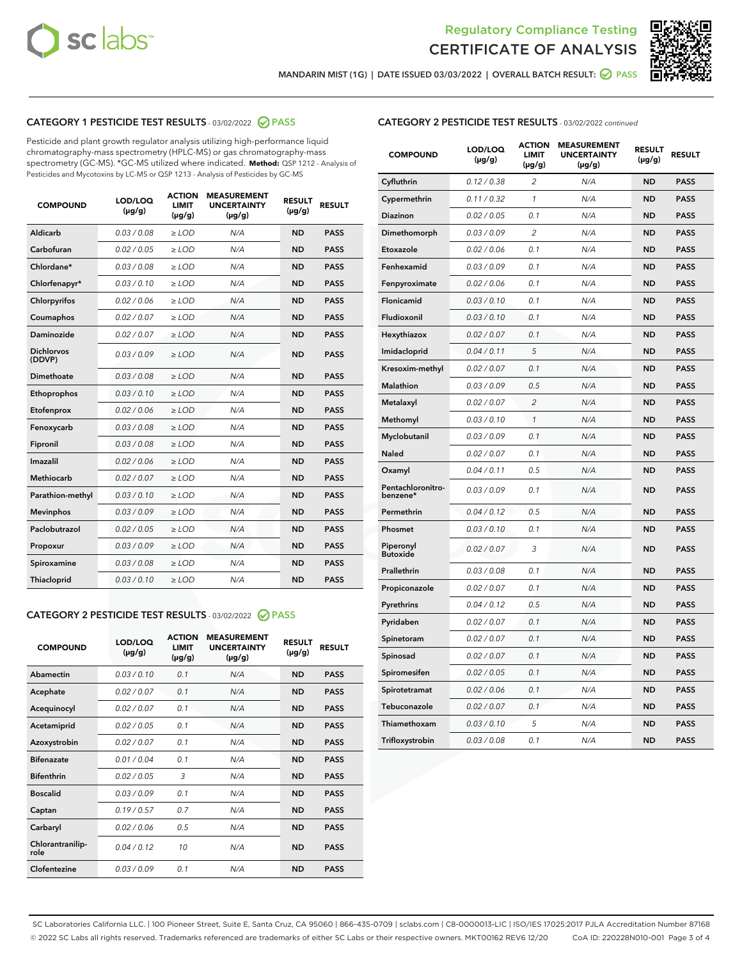



MANDARIN MIST (1G) | DATE ISSUED 03/03/2022 | OVERALL BATCH RESULT:  $\bigcirc$  PASS

## CATEGORY 1 PESTICIDE TEST RESULTS - 03/02/2022 2 PASS

Pesticide and plant growth regulator analysis utilizing high-performance liquid chromatography-mass spectrometry (HPLC-MS) or gas chromatography-mass spectrometry (GC-MS). \*GC-MS utilized where indicated. **Method:** QSP 1212 - Analysis of Pesticides and Mycotoxins by LC-MS or QSP 1213 - Analysis of Pesticides by GC-MS

| 0.03 / 0.08<br><b>ND</b><br><b>PASS</b><br>Aldicarb<br>$\ge$ LOD<br>N/A<br>Carbofuran<br>0.02/0.05<br>$\ge$ LOD<br>N/A<br><b>ND</b><br><b>PASS</b><br>Chlordane*<br>0.03 / 0.08<br>N/A<br><b>ND</b><br><b>PASS</b><br>$\ge$ LOD<br>Chlorfenapyr*<br>0.03/0.10<br><b>ND</b><br><b>PASS</b><br>$\ge$ LOD<br>N/A<br>Chlorpyrifos<br>0.02/0.06<br>$\ge$ LOD<br>N/A<br><b>ND</b><br><b>PASS</b><br>Coumaphos<br>0.02 / 0.07<br>$\ge$ LOD<br>N/A<br><b>ND</b><br><b>PASS</b><br><b>Daminozide</b><br>0.02 / 0.07<br>$>$ LOD<br>N/A<br><b>ND</b><br><b>PASS</b><br><b>Dichlorvos</b><br>0.03/0.09<br>$\ge$ LOD<br>N/A<br><b>ND</b><br><b>PASS</b><br>(DDVP)<br>Dimethoate<br>0.03/0.08<br>N/A<br><b>ND</b><br><b>PASS</b><br>$>$ LOD<br>Ethoprophos<br>0.03/0.10<br>$\ge$ LOD<br>N/A<br><b>ND</b><br><b>PASS</b><br>0.02 / 0.06<br>N/A<br><b>ND</b><br><b>PASS</b><br>Etofenprox<br>$>$ LOD<br>0.03/0.08<br>$>$ LOD<br>N/A<br><b>ND</b><br><b>PASS</b><br>Fenoxycarb<br>0.03 / 0.08<br><b>ND</b><br><b>PASS</b><br>Fipronil<br>$\ge$ LOD<br>N/A<br>Imazalil<br>0.02 / 0.06<br>$\geq$ LOD<br>N/A<br><b>ND</b><br><b>PASS</b><br><b>Methiocarb</b><br>0.02 / 0.07<br>$\ge$ LOD<br>N/A<br><b>ND</b><br><b>PASS</b><br>Parathion-methyl<br>0.03/0.10<br>$\ge$ LOD<br>N/A<br><b>ND</b><br><b>PASS</b><br>0.03/0.09<br>N/A<br><b>ND</b><br><b>PASS</b><br><b>Mevinphos</b><br>$\ge$ LOD<br>Paclobutrazol<br>0.02 / 0.05<br>$\ge$ LOD<br>N/A<br><b>ND</b><br><b>PASS</b><br>0.03/0.09<br>$\ge$ LOD<br>N/A<br><b>ND</b><br><b>PASS</b><br>Propoxur<br>0.03/0.08<br><b>ND</b><br>Spiroxamine<br>$\ge$ LOD<br>N/A<br><b>PASS</b><br><b>ND</b><br>Thiacloprid<br>0.03/0.10<br>$>$ LOD<br>N/A<br><b>PASS</b> | <b>COMPOUND</b> | LOD/LOQ<br>$(\mu g/g)$ | <b>ACTION</b><br>LIMIT<br>$(\mu g/g)$ | <b>MEASUREMENT</b><br><b>UNCERTAINTY</b><br>$(\mu g/g)$ | <b>RESULT</b><br>$(\mu g/g)$ | <b>RESULT</b> |
|-------------------------------------------------------------------------------------------------------------------------------------------------------------------------------------------------------------------------------------------------------------------------------------------------------------------------------------------------------------------------------------------------------------------------------------------------------------------------------------------------------------------------------------------------------------------------------------------------------------------------------------------------------------------------------------------------------------------------------------------------------------------------------------------------------------------------------------------------------------------------------------------------------------------------------------------------------------------------------------------------------------------------------------------------------------------------------------------------------------------------------------------------------------------------------------------------------------------------------------------------------------------------------------------------------------------------------------------------------------------------------------------------------------------------------------------------------------------------------------------------------------------------------------------------------------------------------------------------------------------------------------------------------------------------------------------|-----------------|------------------------|---------------------------------------|---------------------------------------------------------|------------------------------|---------------|
|                                                                                                                                                                                                                                                                                                                                                                                                                                                                                                                                                                                                                                                                                                                                                                                                                                                                                                                                                                                                                                                                                                                                                                                                                                                                                                                                                                                                                                                                                                                                                                                                                                                                                           |                 |                        |                                       |                                                         |                              |               |
|                                                                                                                                                                                                                                                                                                                                                                                                                                                                                                                                                                                                                                                                                                                                                                                                                                                                                                                                                                                                                                                                                                                                                                                                                                                                                                                                                                                                                                                                                                                                                                                                                                                                                           |                 |                        |                                       |                                                         |                              |               |
|                                                                                                                                                                                                                                                                                                                                                                                                                                                                                                                                                                                                                                                                                                                                                                                                                                                                                                                                                                                                                                                                                                                                                                                                                                                                                                                                                                                                                                                                                                                                                                                                                                                                                           |                 |                        |                                       |                                                         |                              |               |
|                                                                                                                                                                                                                                                                                                                                                                                                                                                                                                                                                                                                                                                                                                                                                                                                                                                                                                                                                                                                                                                                                                                                                                                                                                                                                                                                                                                                                                                                                                                                                                                                                                                                                           |                 |                        |                                       |                                                         |                              |               |
|                                                                                                                                                                                                                                                                                                                                                                                                                                                                                                                                                                                                                                                                                                                                                                                                                                                                                                                                                                                                                                                                                                                                                                                                                                                                                                                                                                                                                                                                                                                                                                                                                                                                                           |                 |                        |                                       |                                                         |                              |               |
|                                                                                                                                                                                                                                                                                                                                                                                                                                                                                                                                                                                                                                                                                                                                                                                                                                                                                                                                                                                                                                                                                                                                                                                                                                                                                                                                                                                                                                                                                                                                                                                                                                                                                           |                 |                        |                                       |                                                         |                              |               |
|                                                                                                                                                                                                                                                                                                                                                                                                                                                                                                                                                                                                                                                                                                                                                                                                                                                                                                                                                                                                                                                                                                                                                                                                                                                                                                                                                                                                                                                                                                                                                                                                                                                                                           |                 |                        |                                       |                                                         |                              |               |
|                                                                                                                                                                                                                                                                                                                                                                                                                                                                                                                                                                                                                                                                                                                                                                                                                                                                                                                                                                                                                                                                                                                                                                                                                                                                                                                                                                                                                                                                                                                                                                                                                                                                                           |                 |                        |                                       |                                                         |                              |               |
|                                                                                                                                                                                                                                                                                                                                                                                                                                                                                                                                                                                                                                                                                                                                                                                                                                                                                                                                                                                                                                                                                                                                                                                                                                                                                                                                                                                                                                                                                                                                                                                                                                                                                           |                 |                        |                                       |                                                         |                              |               |
|                                                                                                                                                                                                                                                                                                                                                                                                                                                                                                                                                                                                                                                                                                                                                                                                                                                                                                                                                                                                                                                                                                                                                                                                                                                                                                                                                                                                                                                                                                                                                                                                                                                                                           |                 |                        |                                       |                                                         |                              |               |
|                                                                                                                                                                                                                                                                                                                                                                                                                                                                                                                                                                                                                                                                                                                                                                                                                                                                                                                                                                                                                                                                                                                                                                                                                                                                                                                                                                                                                                                                                                                                                                                                                                                                                           |                 |                        |                                       |                                                         |                              |               |
|                                                                                                                                                                                                                                                                                                                                                                                                                                                                                                                                                                                                                                                                                                                                                                                                                                                                                                                                                                                                                                                                                                                                                                                                                                                                                                                                                                                                                                                                                                                                                                                                                                                                                           |                 |                        |                                       |                                                         |                              |               |
|                                                                                                                                                                                                                                                                                                                                                                                                                                                                                                                                                                                                                                                                                                                                                                                                                                                                                                                                                                                                                                                                                                                                                                                                                                                                                                                                                                                                                                                                                                                                                                                                                                                                                           |                 |                        |                                       |                                                         |                              |               |
|                                                                                                                                                                                                                                                                                                                                                                                                                                                                                                                                                                                                                                                                                                                                                                                                                                                                                                                                                                                                                                                                                                                                                                                                                                                                                                                                                                                                                                                                                                                                                                                                                                                                                           |                 |                        |                                       |                                                         |                              |               |
|                                                                                                                                                                                                                                                                                                                                                                                                                                                                                                                                                                                                                                                                                                                                                                                                                                                                                                                                                                                                                                                                                                                                                                                                                                                                                                                                                                                                                                                                                                                                                                                                                                                                                           |                 |                        |                                       |                                                         |                              |               |
|                                                                                                                                                                                                                                                                                                                                                                                                                                                                                                                                                                                                                                                                                                                                                                                                                                                                                                                                                                                                                                                                                                                                                                                                                                                                                                                                                                                                                                                                                                                                                                                                                                                                                           |                 |                        |                                       |                                                         |                              |               |
|                                                                                                                                                                                                                                                                                                                                                                                                                                                                                                                                                                                                                                                                                                                                                                                                                                                                                                                                                                                                                                                                                                                                                                                                                                                                                                                                                                                                                                                                                                                                                                                                                                                                                           |                 |                        |                                       |                                                         |                              |               |
|                                                                                                                                                                                                                                                                                                                                                                                                                                                                                                                                                                                                                                                                                                                                                                                                                                                                                                                                                                                                                                                                                                                                                                                                                                                                                                                                                                                                                                                                                                                                                                                                                                                                                           |                 |                        |                                       |                                                         |                              |               |
|                                                                                                                                                                                                                                                                                                                                                                                                                                                                                                                                                                                                                                                                                                                                                                                                                                                                                                                                                                                                                                                                                                                                                                                                                                                                                                                                                                                                                                                                                                                                                                                                                                                                                           |                 |                        |                                       |                                                         |                              |               |
|                                                                                                                                                                                                                                                                                                                                                                                                                                                                                                                                                                                                                                                                                                                                                                                                                                                                                                                                                                                                                                                                                                                                                                                                                                                                                                                                                                                                                                                                                                                                                                                                                                                                                           |                 |                        |                                       |                                                         |                              |               |
|                                                                                                                                                                                                                                                                                                                                                                                                                                                                                                                                                                                                                                                                                                                                                                                                                                                                                                                                                                                                                                                                                                                                                                                                                                                                                                                                                                                                                                                                                                                                                                                                                                                                                           |                 |                        |                                       |                                                         |                              |               |

#### CATEGORY 2 PESTICIDE TEST RESULTS - 03/02/2022 @ PASS

| <b>COMPOUND</b>          | LOD/LOQ<br>$(\mu g/g)$ | <b>ACTION</b><br><b>LIMIT</b><br>$(\mu g/g)$ | <b>MEASUREMENT</b><br><b>UNCERTAINTY</b><br>$(\mu g/g)$ | <b>RESULT</b><br>$(\mu g/g)$ | <b>RESULT</b> |  |
|--------------------------|------------------------|----------------------------------------------|---------------------------------------------------------|------------------------------|---------------|--|
| Abamectin                | 0.03/0.10              | 0.1                                          | N/A                                                     | <b>ND</b>                    | <b>PASS</b>   |  |
| Acephate                 | 0.02/0.07              | 0.1                                          | N/A                                                     | <b>ND</b>                    | <b>PASS</b>   |  |
| Acequinocyl              | 0.02/0.07              | 0.1                                          | N/A                                                     | <b>ND</b>                    | <b>PASS</b>   |  |
| Acetamiprid              | 0.02/0.05              | 0.1                                          | N/A                                                     | <b>ND</b>                    | <b>PASS</b>   |  |
| Azoxystrobin             | 0.02/0.07              | 0.1                                          | N/A                                                     | <b>ND</b>                    | <b>PASS</b>   |  |
| <b>Bifenazate</b>        | 0.01/0.04              | 0.1                                          | N/A                                                     | <b>ND</b>                    | <b>PASS</b>   |  |
| <b>Bifenthrin</b>        | 0.02 / 0.05            | 3                                            | N/A                                                     | <b>ND</b>                    | <b>PASS</b>   |  |
| <b>Boscalid</b>          | 0.03/0.09              | 0.1                                          | N/A                                                     | <b>ND</b>                    | <b>PASS</b>   |  |
| Captan                   | 0.19/0.57              | 0.7                                          | N/A                                                     | <b>ND</b>                    | <b>PASS</b>   |  |
| Carbaryl                 | 0.02/0.06              | 0.5                                          | N/A                                                     | <b>ND</b>                    | <b>PASS</b>   |  |
| Chlorantranilip-<br>role | 0.04/0.12              | 10                                           | N/A                                                     | <b>ND</b>                    | <b>PASS</b>   |  |
| Clofentezine             | 0.03/0.09              | 0.1                                          | N/A                                                     | <b>ND</b>                    | <b>PASS</b>   |  |

| <b>CATEGORY 2 PESTICIDE TEST RESULTS</b> - 03/02/2022 continued |
|-----------------------------------------------------------------|
|-----------------------------------------------------------------|

| <b>COMPOUND</b>               | LOD/LOQ<br>$(\mu g/g)$ | <b>ACTION</b><br><b>LIMIT</b><br>(µg/g) | <b>MEASUREMENT</b><br><b>UNCERTAINTY</b><br>(µg/g) | <b>RESULT</b><br>$(\mu g/g)$ | <b>RESULT</b> |
|-------------------------------|------------------------|-----------------------------------------|----------------------------------------------------|------------------------------|---------------|
| Cyfluthrin                    | 0.12 / 0.38            | $\overline{c}$                          | N/A                                                | ND                           | <b>PASS</b>   |
| Cypermethrin                  | 0.11 / 0.32            | $\mathcal{I}$                           | N/A                                                | <b>ND</b>                    | <b>PASS</b>   |
| Diazinon                      | 0.02 / 0.05            | 0.1                                     | N/A                                                | <b>ND</b>                    | <b>PASS</b>   |
| Dimethomorph                  | 0.03 / 0.09            | 2                                       | N/A                                                | ND                           | <b>PASS</b>   |
| Etoxazole                     | 0.02 / 0.06            | 0.1                                     | N/A                                                | <b>ND</b>                    | <b>PASS</b>   |
| Fenhexamid                    | 0.03 / 0.09            | 0.1                                     | N/A                                                | <b>ND</b>                    | <b>PASS</b>   |
| Fenpyroximate                 | 0.02 / 0.06            | 0.1                                     | N/A                                                | <b>ND</b>                    | <b>PASS</b>   |
| Flonicamid                    | 0.03 / 0.10            | 0.1                                     | N/A                                                | <b>ND</b>                    | <b>PASS</b>   |
| Fludioxonil                   | 0.03 / 0.10            | 0.1                                     | N/A                                                | <b>ND</b>                    | <b>PASS</b>   |
| Hexythiazox                   | 0.02 / 0.07            | 0.1                                     | N/A                                                | ND                           | <b>PASS</b>   |
| Imidacloprid                  | 0.04 / 0.11            | 5                                       | N/A                                                | ND                           | <b>PASS</b>   |
| Kresoxim-methyl               | 0.02 / 0.07            | 0.1                                     | N/A                                                | ND                           | <b>PASS</b>   |
| <b>Malathion</b>              | 0.03 / 0.09            | 0.5                                     | N/A                                                | <b>ND</b>                    | <b>PASS</b>   |
| Metalaxyl                     | 0.02 / 0.07            | $\overline{c}$                          | N/A                                                | <b>ND</b>                    | <b>PASS</b>   |
| Methomyl                      | 0.03 / 0.10            | $\mathbf{1}$                            | N/A                                                | ND                           | <b>PASS</b>   |
| Myclobutanil                  | 0.03 / 0.09            | 0.1                                     | N/A                                                | <b>ND</b>                    | <b>PASS</b>   |
| Naled                         | 0.02 / 0.07            | 0.1                                     | N/A                                                | <b>ND</b>                    | <b>PASS</b>   |
| Oxamyl                        | 0.04 / 0.11            | 0.5                                     | N/A                                                | ND                           | <b>PASS</b>   |
| Pentachloronitro-<br>benzene* | 0.03 / 0.09            | 0.1                                     | N/A                                                | <b>ND</b>                    | <b>PASS</b>   |
| Permethrin                    | 0.04 / 0.12            | 0.5                                     | N/A                                                | ND                           | <b>PASS</b>   |
| Phosmet                       | 0.03 / 0.10            | 0.1                                     | N/A                                                | <b>ND</b>                    | <b>PASS</b>   |
| Piperonyl<br><b>Butoxide</b>  | 0.02 / 0.07            | 3                                       | N/A                                                | <b>ND</b>                    | <b>PASS</b>   |
| Prallethrin                   | 0.03 / 0.08            | 0.1                                     | N/A                                                | <b>ND</b>                    | <b>PASS</b>   |
| Propiconazole                 | 0.02 / 0.07            | 0.1                                     | N/A                                                | ND                           | <b>PASS</b>   |
| Pyrethrins                    | 0.04 / 0.12            | 0.5                                     | N/A                                                | <b>ND</b>                    | <b>PASS</b>   |
| Pyridaben                     | 0.02 / 0.07            | 0.1                                     | N/A                                                | <b>ND</b>                    | <b>PASS</b>   |
| Spinetoram                    | 0.02 / 0.07            | 0.1                                     | N/A                                                | ND                           | <b>PASS</b>   |
| Spinosad                      | 0.02 / 0.07            | 0.1                                     | N/A                                                | <b>ND</b>                    | <b>PASS</b>   |
| Spiromesifen                  | 0.02 / 0.05            | 0.1                                     | N/A                                                | <b>ND</b>                    | <b>PASS</b>   |
| Spirotetramat                 | 0.02 / 0.06            | 0.1                                     | N/A                                                | ND                           | <b>PASS</b>   |
| Tebuconazole                  | 0.02 / 0.07            | 0.1                                     | N/A                                                | ND                           | <b>PASS</b>   |
| Thiamethoxam                  | 0.03 / 0.10            | 5                                       | N/A                                                | ND                           | <b>PASS</b>   |
| Trifloxystrobin               | 0.03 / 0.08            | 0.1                                     | N/A                                                | <b>ND</b>                    | <b>PASS</b>   |

SC Laboratories California LLC. | 100 Pioneer Street, Suite E, Santa Cruz, CA 95060 | 866-435-0709 | sclabs.com | C8-0000013-LIC | ISO/IES 17025:2017 PJLA Accreditation Number 87168 © 2022 SC Labs all rights reserved. Trademarks referenced are trademarks of either SC Labs or their respective owners. MKT00162 REV6 12/20 CoA ID: 220228N010-001 Page 3 of 4